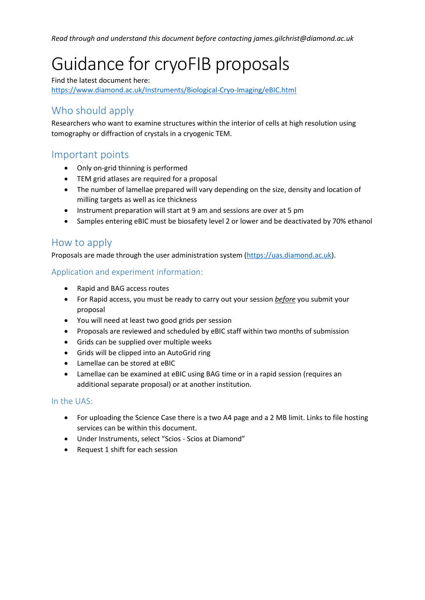*Read through and understand this document before contacting james.gilchrist@diamond.ac.uk*

# Guidance for cryoFIB proposals

Find the latest document here: <https://www.diamond.ac.uk/Instruments/Biological-Cryo-Imaging/eBIC.html>

# Who should apply

Researchers who want to examine structures within the interior of cells at high resolution using tomography or diffraction of crystals in a cryogenic TEM.

## Important points

- Only on-grid thinning is performed
- TEM grid atlases are required for a proposal
- The number of lamellae prepared will vary depending on the size, density and location of milling targets as well as ice thickness
- Instrument preparation will start at 9 am and sessions are over at 5 pm
- Samples entering eBIC must be biosafety level 2 or lower and be deactivated by 70% ethanol

### How to apply

Proposals are made through the user administration system [\(https://uas.diamond.ac.uk\)](https://uas.diamond.ac.uk/).

#### Application and experiment information:

- Rapid and BAG access routes
- For Rapid access, you must be ready to carry out your session *before* you submit your proposal
- You will need at least two good grids per session
- Proposals are reviewed and scheduled by eBIC staff within two months of submission
- Grids can be supplied over multiple weeks
- Grids will be clipped into an AutoGrid ring
- Lamellae can be stored at eBIC
- Lamellae can be examined at eBIC using BAG time or in a rapid session (requires an additional separate proposal) or at another institution.

#### In the UAS:

- For uploading the Science Case there is a two A4 page and a 2 MB limit. Links to file hosting services can be within this document.
- Under Instruments, select "Scios Scios at Diamond"
- Request 1 shift for each session